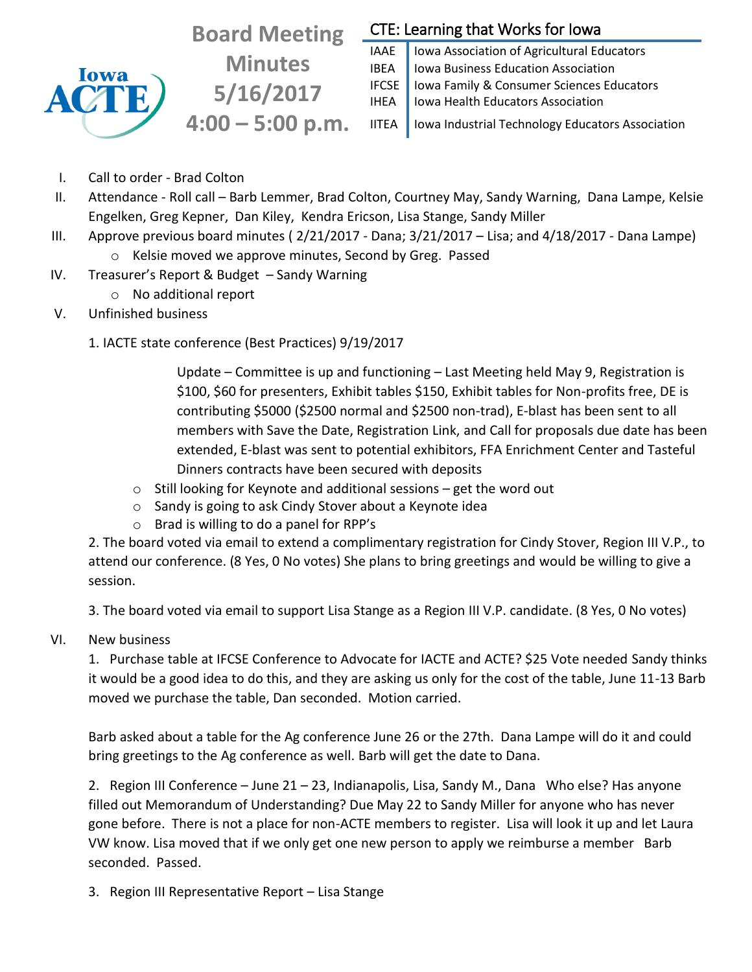

**Board Meeting Minutes 5/16/2017 4:00 – 5:00 p.m.** CTE: Learning that Works for Iowa

IAAE | Iowa Association of Agricultural Educators **IBEA** | Iowa Business Education Association IFCSE Iowa Family & Consumer Sciences Educators IHEA | Iowa Health Educators Association

IITEA | Iowa Industrial Technology Educators Association

- I. Call to order Brad Colton
- II. Attendance Roll call Barb Lemmer, Brad Colton, Courtney May, Sandy Warning, Dana Lampe, Kelsie Engelken, Greg Kepner, Dan Kiley, Kendra Ericson, Lisa Stange, Sandy Miller
- III. Approve previous board minutes ( 2/21/2017 Dana; 3/21/2017 Lisa; and 4/18/2017 Dana Lampe) o Kelsie moved we approve minutes, Second by Greg. Passed
- IV. Treasurer's Report & Budget Sandy Warning
	- o No additional report
- V. Unfinished business
	- 1. IACTE state conference (Best Practices) 9/19/2017

Update – Committee is up and functioning – Last Meeting held May 9, Registration is \$100, \$60 for presenters, Exhibit tables \$150, Exhibit tables for Non-profits free, DE is contributing \$5000 (\$2500 normal and \$2500 non-trad), E-blast has been sent to all members with Save the Date, Registration Link, and Call for proposals due date has been extended, E-blast was sent to potential exhibitors, FFA Enrichment Center and Tasteful Dinners contracts have been secured with deposits

- $\circ$  Still looking for Keynote and additional sessions get the word out
- o Sandy is going to ask Cindy Stover about a Keynote idea
- o Brad is willing to do a panel for RPP's

2. The board voted via email to extend a complimentary registration for Cindy Stover, Region III V.P., to attend our conference. (8 Yes, 0 No votes) She plans to bring greetings and would be willing to give a session.

3. The board voted via email to support Lisa Stange as a Region III V.P. candidate. (8 Yes, 0 No votes)

VI. New business

1. Purchase table at IFCSE Conference to Advocate for IACTE and ACTE? \$25 Vote needed Sandy thinks it would be a good idea to do this, and they are asking us only for the cost of the table, June 11-13 Barb moved we purchase the table, Dan seconded. Motion carried.

Barb asked about a table for the Ag conference June 26 or the 27th. Dana Lampe will do it and could bring greetings to the Ag conference as well. Barb will get the date to Dana.

2. Region III Conference – June 21 – 23, Indianapolis, Lisa, Sandy M., Dana Who else? Has anyone filled out Memorandum of Understanding? Due May 22 to Sandy Miller for anyone who has never gone before. There is not a place for non-ACTE members to register. Lisa will look it up and let Laura VW know. Lisa moved that if we only get one new person to apply we reimburse a member Barb seconded. Passed.

3. Region III Representative Report – Lisa Stange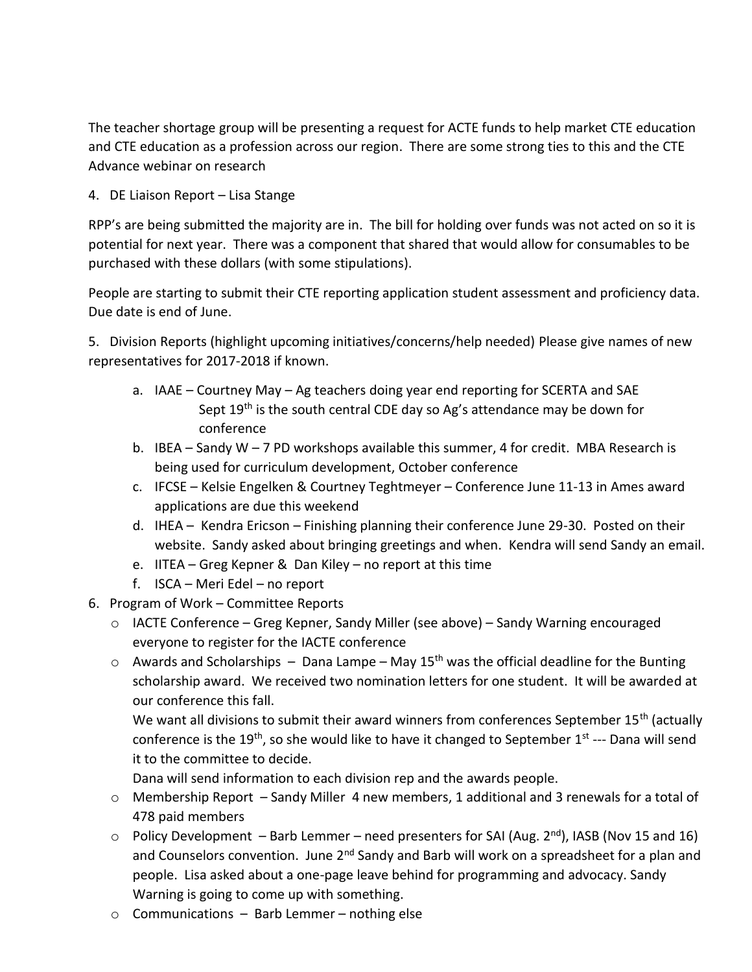The teacher shortage group will be presenting a request for ACTE funds to help market CTE education and CTE education as a profession across our region. There are some strong ties to this and the CTE Advance webinar on research

4. DE Liaison Report – Lisa Stange

RPP's are being submitted the majority are in. The bill for holding over funds was not acted on so it is potential for next year. There was a component that shared that would allow for consumables to be purchased with these dollars (with some stipulations).

People are starting to submit their CTE reporting application student assessment and proficiency data. Due date is end of June.

5. Division Reports (highlight upcoming initiatives/concerns/help needed) Please give names of new representatives for 2017-2018 if known.

- a. IAAE Courtney May Ag teachers doing year end reporting for SCERTA and SAE Sept 19<sup>th</sup> is the south central CDE day so Ag's attendance may be down for conference
- b. IBEA Sandy W 7 PD workshops available this summer, 4 for credit. MBA Research is being used for curriculum development, October conference
- c. IFCSE Kelsie Engelken & Courtney Teghtmeyer Conference June 11-13 in Ames award applications are due this weekend
- d. IHEA Kendra Ericson Finishing planning their conference June 29-30. Posted on their website. Sandy asked about bringing greetings and when. Kendra will send Sandy an email.
- e. IITEA Greg Kepner & Dan Kiley no report at this time
- f. ISCA Meri Edel no report
- 6. Program of Work Committee Reports
	- o IACTE Conference Greg Kepner, Sandy Miller (see above) Sandy Warning encouraged everyone to register for the IACTE conference
	- $\circ$  Awards and Scholarships Dana Lampe May 15<sup>th</sup> was the official deadline for the Bunting scholarship award. We received two nomination letters for one student. It will be awarded at our conference this fall.

We want all divisions to submit their award winners from conferences September 15<sup>th</sup> (actually conference is the 19<sup>th</sup>, so she would like to have it changed to September 1<sup>st</sup> --- Dana will send it to the committee to decide.

Dana will send information to each division rep and the awards people.

- o Membership Report Sandy Miller 4 new members, 1 additional and 3 renewals for a total of 478 paid members
- $\circ$  Policy Development Barb Lemmer need presenters for SAI (Aug. 2<sup>nd</sup>), IASB (Nov 15 and 16) and Counselors convention. June  $2^{nd}$  Sandy and Barb will work on a spreadsheet for a plan and people. Lisa asked about a one-page leave behind for programming and advocacy. Sandy Warning is going to come up with something.
- $\circ$  Communications Barb Lemmer nothing else